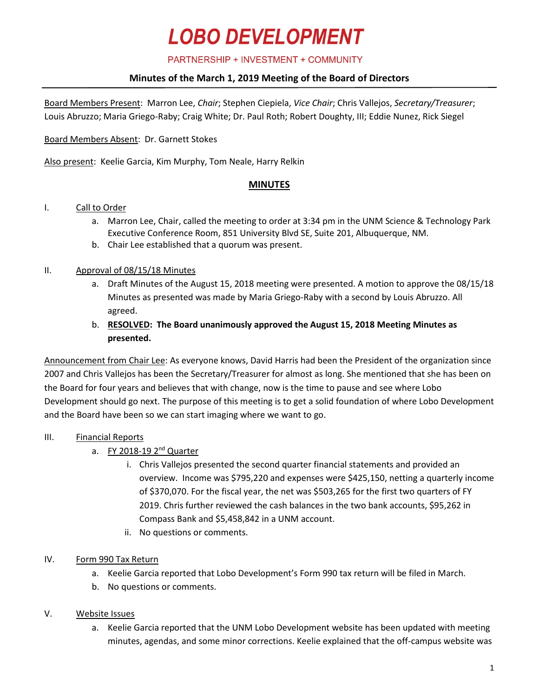#### PARTNERSHIP + INVESTMENT + COMMUNITY

## **Minutes of the March 1, 2019 Meeting of the Board of Directors**

Board Members Present: Marron Lee, *Chair*; Stephen Ciepiela, *Vice Chair*; Chris Vallejos, *Secretary/Treasurer*; Louis Abruzzo; Maria Griego-Raby; Craig White; Dr. Paul Roth; Robert Doughty, III; Eddie Nunez, Rick Siegel

Board Members Absent: Dr. Garnett Stokes

Also present: Keelie Garcia, Kim Murphy, Tom Neale, Harry Relkin

## **MINUTES**

#### I. Call to Order

- a. Marron Lee, Chair, called the meeting to order at 3:34 pm in the UNM Science & Technology Park Executive Conference Room, 851 University Blvd SE, Suite 201, Albuquerque, NM.
- b. Chair Lee established that a quorum was present.

#### II. Approval of 08/15/18 Minutes

a. Draft Minutes of the August 15, 2018 meeting were presented. A motion to approve the 08/15/18 Minutes as presented was made by Maria Griego-Raby with a second by Louis Abruzzo. All agreed.

## b. **RESOLVED: The Board unanimously approved the August 15, 2018 Meeting Minutes as presented.**

Announcement from Chair Lee: As everyone knows, David Harris had been the President of the organization since 2007 and Chris Vallejos has been the Secretary/Treasurer for almost as long. She mentioned that she has been on the Board for four years and believes that with change, now is the time to pause and see where Lobo Development should go next. The purpose of this meeting is to get a solid foundation of where Lobo Development and the Board have been so we can start imaging where we want to go.

## III. Financial Reports

- a. FY 2018-19  $2<sup>nd</sup>$  Quarter
	- i. Chris Vallejos presented the second quarter financial statements and provided an overview. Income was \$795,220 and expenses were \$425,150, netting a quarterly income of \$370,070. For the fiscal year, the net was \$503,265 for the first two quarters of FY 2019. Chris further reviewed the cash balances in the two bank accounts, \$95,262 in Compass Bank and \$5,458,842 in a UNM account.
	- ii. No questions or comments.

#### IV. Form 990 Tax Return

- a. Keelie Garcia reported that Lobo Development's Form 990 tax return will be filed in March.
- b. No questions or comments.

#### V. Website Issues

a. Keelie Garcia reported that the UNM Lobo Development website has been updated with meeting minutes, agendas, and some minor corrections. Keelie explained that the off-campus website was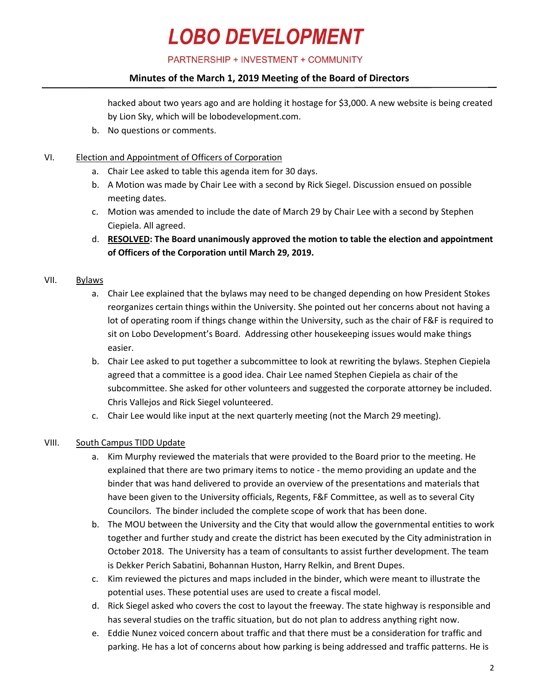PARTNERSHIP + INVESTMENT + COMMUNITY

## **Minutes of the March 1, 2019 Meeting of the Board of Directors**

hacked about two years ago and are holding it hostage for \$3,000. A new website is being created by Lion Sky, which will be lobodevelopment.com.

- b. No questions or comments.
- VI. Election and Appointment of Officers of Corporation
	- a. Chair Lee asked to table this agenda item for 30 days.
	- b. A Motion was made by Chair Lee with a second by Rick Siegel. Discussion ensued on possible meeting dates.
	- c. Motion was amended to include the date of March 29 by Chair Lee with a second by Stephen Ciepiela. All agreed.
	- d. **RESOLVED: The Board unanimously approved the motion to table the election and appointment of Officers of the Corporation until March 29, 2019.**

#### VII. Bylaws

- a. Chair Lee explained that the bylaws may need to be changed depending on how President Stokes reorganizes certain things within the University. She pointed out her concerns about not having a lot of operating room if things change within the University, such as the chair of F&F is required to sit on Lobo Development's Board. Addressing other housekeeping issues would make things easier.
- b. Chair Lee asked to put together a subcommittee to look at rewriting the bylaws. Stephen Ciepiela agreed that a committee is a good idea. Chair Lee named Stephen Ciepiela as chair of the subcommittee. She asked for other volunteers and suggested the corporate attorney be included. Chris Vallejos and Rick Siegel volunteered.
- c. Chair Lee would like input at the next quarterly meeting (not the March 29 meeting).

#### VIII. South Campus TIDD Update

- a. Kim Murphy reviewed the materials that were provided to the Board prior to the meeting. He explained that there are two primary items to notice - the memo providing an update and the binder that was hand delivered to provide an overview of the presentations and materials that have been given to the University officials, Regents, F&F Committee, as well as to several City Councilors. The binder included the complete scope of work that has been done.
- b. The MOU between the University and the City that would allow the governmental entities to work together and further study and create the district has been executed by the City administration in October 2018. The University has a team of consultants to assist further development. The team is Dekker Perich Sabatini, Bohannan Huston, Harry Relkin, and Brent Dupes.
- c. Kim reviewed the pictures and maps included in the binder, which were meant to illustrate the potential uses. These potential uses are used to create a fiscal model.
- d. Rick Siegel asked who covers the cost to layout the freeway. The state highway is responsible and has several studies on the traffic situation, but do not plan to address anything right now.
- e. Eddie Nunez voiced concern about traffic and that there must be a consideration for traffic and parking. He has a lot of concerns about how parking is being addressed and traffic patterns. He is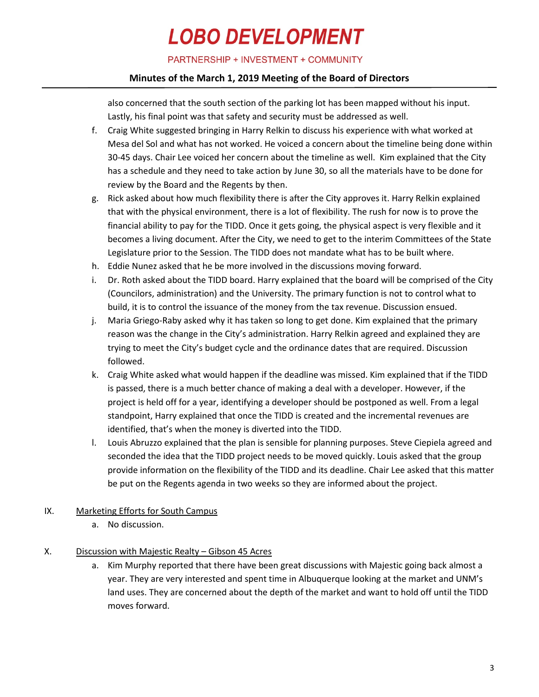PARTNERSHIP + INVESTMENT + COMMUNITY

## **Minutes of the March 1, 2019 Meeting of the Board of Directors**

also concerned that the south section of the parking lot has been mapped without his input. Lastly, his final point was that safety and security must be addressed as well.

- f. Craig White suggested bringing in Harry Relkin to discuss his experience with what worked at Mesa del Sol and what has not worked. He voiced a concern about the timeline being done within 30-45 days. Chair Lee voiced her concern about the timeline as well. Kim explained that the City has a schedule and they need to take action by June 30, so all the materials have to be done for review by the Board and the Regents by then.
- g. Rick asked about how much flexibility there is after the City approves it. Harry Relkin explained that with the physical environment, there is a lot of flexibility. The rush for now is to prove the financial ability to pay for the TIDD. Once it gets going, the physical aspect is very flexible and it becomes a living document. After the City, we need to get to the interim Committees of the State Legislature prior to the Session. The TIDD does not mandate what has to be built where.
- h. Eddie Nunez asked that he be more involved in the discussions moving forward.
- i. Dr. Roth asked about the TIDD board. Harry explained that the board will be comprised of the City (Councilors, administration) and the University. The primary function is not to control what to build, it is to control the issuance of the money from the tax revenue. Discussion ensued.
- j. Maria Griego-Raby asked why it has taken so long to get done. Kim explained that the primary reason was the change in the City's administration. Harry Relkin agreed and explained they are trying to meet the City's budget cycle and the ordinance dates that are required. Discussion followed.
- k. Craig White asked what would happen if the deadline was missed. Kim explained that if the TIDD is passed, there is a much better chance of making a deal with a developer. However, if the project is held off for a year, identifying a developer should be postponed as well. From a legal standpoint, Harry explained that once the TIDD is created and the incremental revenues are identified, that's when the money is diverted into the TIDD.
- l. Louis Abruzzo explained that the plan is sensible for planning purposes. Steve Ciepiela agreed and seconded the idea that the TIDD project needs to be moved quickly. Louis asked that the group provide information on the flexibility of the TIDD and its deadline. Chair Lee asked that this matter be put on the Regents agenda in two weeks so they are informed about the project.
- IX. Marketing Efforts for South Campus
	- a. No discussion.
- X. Discussion with Majestic Realty Gibson 45 Acres
	- a. Kim Murphy reported that there have been great discussions with Majestic going back almost a year. They are very interested and spent time in Albuquerque looking at the market and UNM's land uses. They are concerned about the depth of the market and want to hold off until the TIDD moves forward.